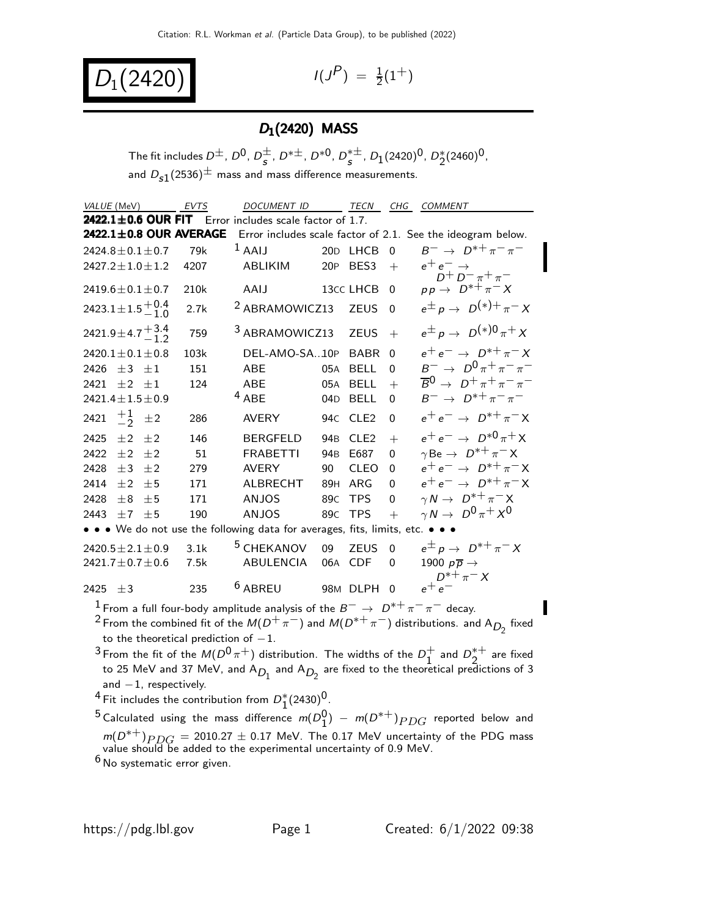$D_1(2420)$   $(1)$ 

 $P$ ) =  $\frac{1}{2}(1^+)$ 

### $D_1(2420)$  MASS

The fit includes  $D^{\pm}$ ,  $D^{0}$ ,  $D^{\pm}$  $\frac{\pm}{s}$ , D<sup>\* $\pm$ </sup>, D<sup>\*0</sup>, D<sup>\* $\pm$ </sup>  $_s^{*\pm}$ ,  $D_1(2420)^0$ ,  $D_2^*(2460)^0$ , and  $D_{s1}(2536)^{\pm}$  mass and mass difference measurements.

| VALUE (MeV)                                                                   | <b>EVTS</b> | <b>DOCUMENT ID</b>                                             |                 | <b>TECN</b>      | CHG            | COMMENT                                                     |  |
|-------------------------------------------------------------------------------|-------------|----------------------------------------------------------------|-----------------|------------------|----------------|-------------------------------------------------------------|--|
| 2422.1±0.6 OUR FIT Error includes scale factor of 1.7.                        |             |                                                                |                 |                  |                |                                                             |  |
| 2422.1±0.8 OUR AVERAGE                                                        |             |                                                                |                 |                  |                | Error includes scale factor of 2.1. See the ideogram below. |  |
| $2424.8 \pm 0.1 \pm 0.7$                                                      | 79k         | $1$ AAIJ                                                       |                 | 20D LHCB         | $\Omega$       | $B^{-} \to D^{*+} \pi^- \pi^-$                              |  |
| $2427.2 \pm 1.0 \pm 1.2$                                                      | 4207        | ABLIKIM                                                        | <b>20P</b>      | BES <sub>3</sub> | $+$            | $e^+e^- \rightarrow$<br>$D^+ D^- \pi^+ \pi^-$               |  |
| 2419.6 $\pm$ 0.1 $\pm$ 0.7                                                    | 210k        | AAIJ                                                           |                 | 13cc LHCB        | $\Omega$       | $pp \rightarrow D^{*+} \pi^- X$                             |  |
| 2423.1 ± 1.5 $^{+0.4}_{-1.0}$                                                 | 2.7k        | <sup>2</sup> ABRAMOWICZ13                                      |                 | <b>ZEUS</b>      | $\overline{0}$ | $e^{\pm} p \rightarrow D^{(*)+} \pi^- X$                    |  |
| 2421.9 ± 4.7 $^{+3.4}_{-1.2}$                                                 | 759         | <sup>3</sup> ABRAMOWICZ13                                      |                 | <b>ZEUS</b>      | $+$            | $e^{\pm} p \rightarrow D^{(*)0} \pi^+ X$                    |  |
| $2420.1 \pm 0.1 \pm 0.8$                                                      | 103k        | DEL-AMO-SA10P                                                  |                 | <b>BABR</b>      | $\Omega$       | $e^+e^- \rightarrow D^{*+}\pi^-X$                           |  |
| 2426 $\pm 3$ $\pm 1$                                                          | 151         | <b>ABE</b>                                                     | 05A             | <b>BELL</b>      | $\Omega$       | $B^{-} \to D^{0} \pi^{+} \pi^{-} \pi^{-}$                   |  |
| $\pm 2$ $\pm 1$<br>2421                                                       | 124         | <b>ABE</b>                                                     | 05A             | <b>BELL</b>      | $+$            | $\overline{B}^0$ $\rightarrow$ $D^+\pi^+\pi^-\pi^-$         |  |
| $2421.4 \pm 1.5 \pm 0.9$                                                      |             | $4$ ABE                                                        | 04 <sub>D</sub> | <b>BELL</b>      | $\Omega$       | $B^{-} \to D^{*+} \pi^- \pi^-$                              |  |
| 2421 $\frac{+1}{2}$<br>$\pm 2$                                                | 286         | <b>AVERY</b>                                                   | 94C             | CLE <sub>2</sub> | $\mathbf{0}$   | $e^+e^- \rightarrow D^{*+}\pi^-X$                           |  |
| 2425<br>$+2$<br>$+2$                                                          | 146         | <b>BERGFELD</b>                                                | 94 <sub>B</sub> | CLE <sub>2</sub> | $+$            | $e^+e^- \to D^{*0}\pi^+X$                                   |  |
| 2422<br>$\pm 2$<br>$\pm 2$                                                    | 51          | <b>FRABETTI</b>                                                | 94 <sub>B</sub> | E687             | $\Omega$       | $\gamma$ Be $\rightarrow D^{*+}\pi^- X$                     |  |
| 2428<br>$\pm$ 3<br>$+2$                                                       | 279         | <b>AVERY</b>                                                   | 90              | <b>CLEO</b>      | $\Omega$       | $e^+e^- \rightarrow D^{*+}\pi^-X$                           |  |
| 2414<br>$+2$<br>$+5$                                                          | 171         | ALBRECHT                                                       | 89H             | ARG              | $\Omega$       | $e^+e^- \rightarrow D^{*+}\pi^-X$                           |  |
| $+5$<br>2428<br>$+8$                                                          | 171         | <b>ANJOS</b>                                                   | 89 <sub>C</sub> | <b>TPS</b>       | $\Omega$       | $\gamma N \to D^{*+} \pi^- X$                               |  |
| $\pm 7$ $\pm 5$<br>2443                                                       | 190         | <b>ANJOS</b>                                                   | 89 <sub>C</sub> | <b>TPS</b>       | $+$            | $\gamma N \to D^0 \pi^+ X^0$                                |  |
| • • • We do not use the following data for averages, fits, limits, etc. • • • |             |                                                                |                 |                  |                |                                                             |  |
| $2420.5 \pm 2.1 \pm 0.9$                                                      | 3.1k        | <sup>5</sup> CHEKANOV                                          | 09              | <b>ZEUS</b>      | $\Omega$       | $e^{\pm} p \rightarrow D^{*+} \pi^- X$                      |  |
| $2421.7 \pm 0.7 \pm 0.6$                                                      | 7.5k        | <b>ABULENCIA</b>                                               |                 | 06A CDF          | $\Omega$       | 1900 $p\overline{p} \rightarrow$                            |  |
| $+3$<br>2425<br>$\blacksquare$                                                | 235         | <sup>6</sup> ABREU<br>the common contract of the common common |                 | 98M DLPH         | $\Omega$       | $D^{*+}\pi^- X$<br>$e^+e^-$                                 |  |

<sup>1</sup> From a full four-body amplitude analysis of the  $B^-\to D^{*+}\pi^-\pi^-$  decay. 2 From the combined fit of the  $M(D^+\pi^-)$  and  $M(D^{*+}\pi^-)$  distributions. and A<sub>D<sub>2</sub></sub> fixed to the theoretical prediction of  $-1$ .

 $^3$  From the fit of the  $M(D^0 \pi^+)$  distribution. The widths of the  $D_1^+$  $\frac{1}{1}$  and  $D_2^{*+}$  $2^{\ast +}$  are fixed to 25 MeV and 37 MeV, and A $_{D_1}$  and A $_{D_2}$  are fixed to the theoretical predictions of 3 and  $-1$ , respectively.

4 Fit includes the contribution from  $D_1^*(2430)^0$ .

5 Calculated using the mass difference  $m(D_1^0) - m(D^{*+})$   $PDG$  reported below and  $m(D^{*+})_{PDG} = 2010.27 \pm 0.17$  MeV. The 0.17 MeV uncertainty of the PDG mass value should be added to the experimental uncertainty of 0.9 MeV.

6 No systematic error given.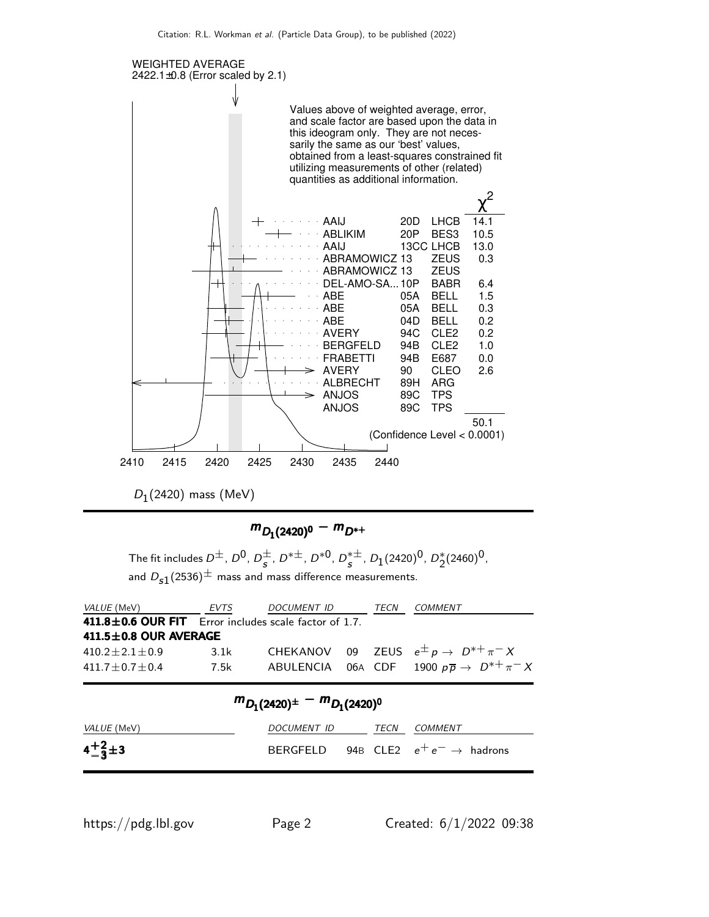

 $D_1(2420)$  mass (MeV)

# $m_{D_1(2420)^0} - m_{D^{*+}}$

The fit includes  $D^{\pm}$ ,  $D^{0}$ ,  $D^{\pm}$  $\frac{\pm}{s}$ , D<sup>\* $\pm$ </sup>, D<sup>\*0</sup>, D<sup>\* $\pm$ </sup>  $_s^{*\pm}$ ,  $D_1(2420)^0$ ,  $D_2^*(2460)^0$ , and  $D_{s1}(2536)^{\pm}$  mass and mass difference measurements.

| EVTS                        | <i>DOCUMENT ID</i> | TECN                                                  | COMMENT                                                                                                                      |
|-----------------------------|--------------------|-------------------------------------------------------|------------------------------------------------------------------------------------------------------------------------------|
|                             |                    |                                                       |                                                                                                                              |
| $411.5 \pm 0.8$ OUR AVERAGE |                    |                                                       |                                                                                                                              |
| 3.1k                        |                    |                                                       |                                                                                                                              |
| 7.5k                        |                    |                                                       |                                                                                                                              |
|                             |                    | 411.8±0.6 OUR FIT Error includes scale factor of 1.7. | CHEKANOV 09 ZEUS $e^{\pm} p \rightarrow D^{*+} \pi^- X$<br>ABULENCIA 06A CDF 1900 $p\overline{p} \rightarrow D^{*+} \pi^- X$ |

| $m_{D_1(2420)^{\pm}} - m_{D_1(2420)^{0}}$ |                  |  |  |                                                |  |  |
|-------------------------------------------|------------------|--|--|------------------------------------------------|--|--|
| VALUE (MeV)                               | DOCUMENT ID TECN |  |  | <i>COMMENT</i>                                 |  |  |
| $4^{+2}_{-3}$ ± 3                         |                  |  |  | BERGFELD 94B CLE2 $e^+e^- \rightarrow$ hadrons |  |  |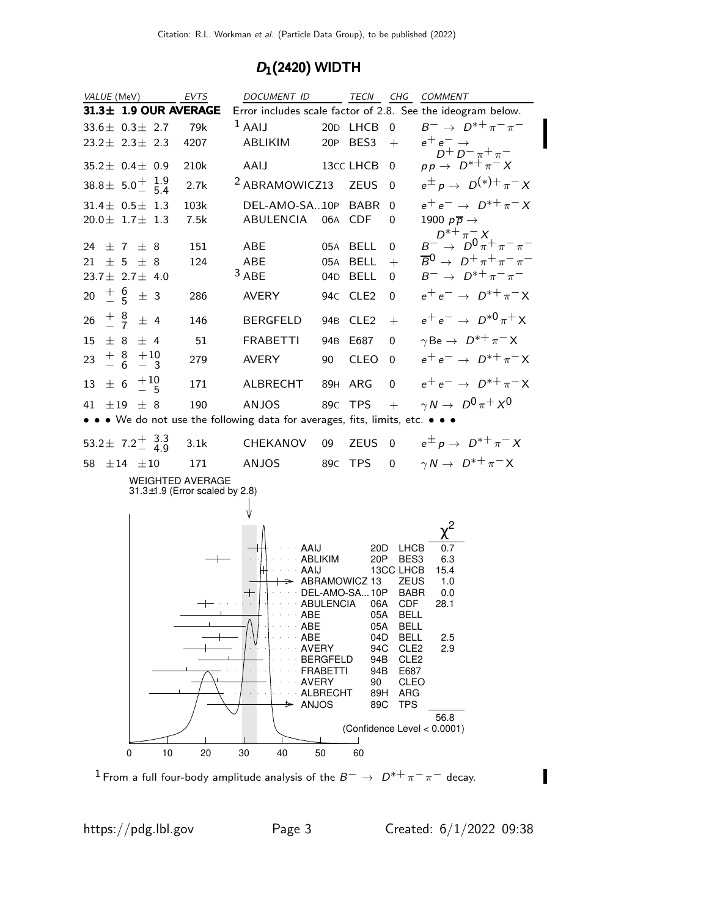#### $D_1(2420)$  WIDTH



<sup>1</sup> From a full four-body amplitude analysis of the  $B^-\to D^{*+}\pi^-\pi^-$  decay.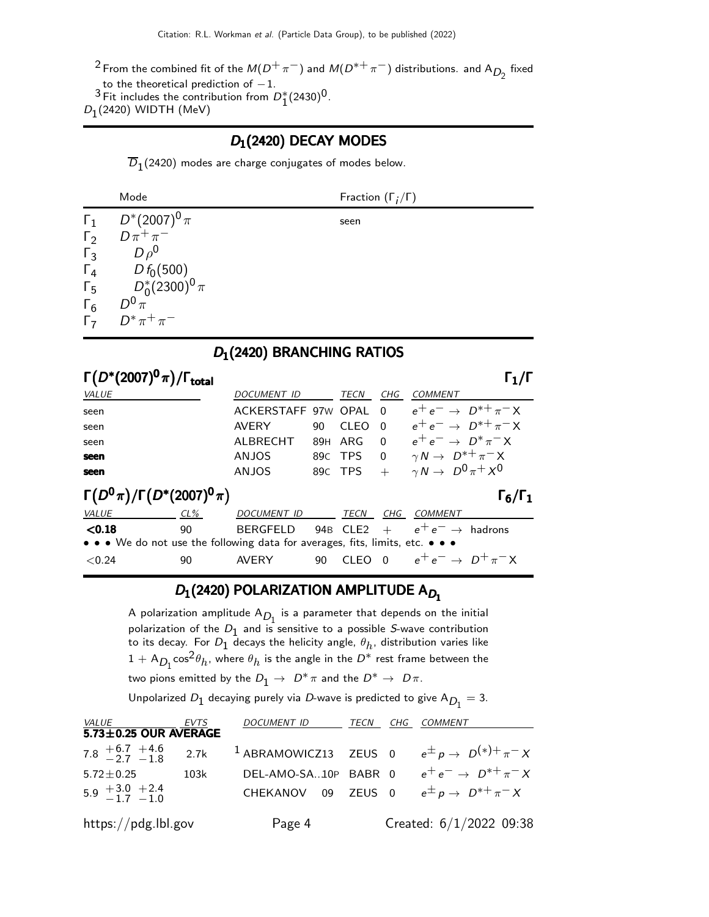<sup>2</sup> From the combined fit of the  $M(D^+\pi^-)$  and  $M(D^{*+}\pi^-)$  distributions. and A<sub>D<sub>2</sub></sub> fixed

to the theoretical prediction of  $-1$ .

 $3$  Fit includes the contribution from  $D_1^*(2430)^0$ .

 $D_1(2420)$  WIDTH (MeV)

#### D1(2420) DECAY MODES

 $D_1(2420)$  modes are charge conjugates of modes below.

|            | Mode                                                                                   | Fraction $(\Gamma_i/\Gamma)$ |
|------------|----------------------------------------------------------------------------------------|------------------------------|
|            | $\begin{array}{cc} \Gamma_1 & D^*(2007)^0 \pi \\ \Gamma_2 & D \pi^+ \pi^- \end{array}$ | seen                         |
|            |                                                                                        |                              |
| $\Gamma_3$ | $D \rho^0$                                                                             |                              |
|            |                                                                                        |                              |
|            | $\begin{array}{ccc} \Gamma_4 & D f_0(500) \\ \Gamma_5 & D_0^*(2300)^0 \pi \end{array}$ |                              |
|            | $D^0 \pi$<br>$\begin{bmatrix} 6 & D^0 \pi \\ \Gamma_7 & D^* \pi^+ \pi^- \end{bmatrix}$ |                              |
|            |                                                                                        |                              |

D<sub>1</sub>(2420) BRANCHING RATIOS

| $\Gamma(D^*(2007)^0 \pi)/\Gamma_{\rm total}$<br>$\mathsf{\Gamma}_1/\mathsf{\Gamma}$ |        |                     |                 |         |          |                                      |
|-------------------------------------------------------------------------------------|--------|---------------------|-----------------|---------|----------|--------------------------------------|
| VALUE                                                                               |        | <b>DOCUMENT ID</b>  |                 | TECN    | CHG      | <b>COMMENT</b>                       |
| seen                                                                                |        | ACKERSTAFF 97W OPAL |                 |         | $\Omega$ | $e^+e^- \rightarrow D^{*+}\pi^-X$    |
| seen                                                                                |        | AVERY               | 90              | CLEO    | $\Omega$ | $e^+e^- \rightarrow D^{*+}\pi^-X$    |
| seen                                                                                |        | AI BRECHT           | 89H             | ARG     | $\Omega$ | $e^+e^- \rightarrow D^*\pi^-X$       |
| seen                                                                                |        | <b>ANJOS</b>        |                 | 89C TPS | $\Omega$ | $\gamma N \to D^{*+} \pi^- X$        |
| seen                                                                                |        | <b>ANJOS</b>        |                 | 89C TPS | $+$      | $\gamma N \rightarrow D^0 \pi^+ X^0$ |
| $\Gamma(D^0\pi)/\Gamma(D^*(2007)^0\pi)$                                             |        |                     |                 |         |          | $\Gamma_6/\Gamma_1$                  |
| VALUE                                                                               | $CL\%$ | <b>DOCUMENT ID</b>  |                 | TECN    | CHG      | <i>COMMENT</i>                       |
| < 0.18                                                                              | 90     | <b>BERGFELD</b>     | 94 <sub>B</sub> | CLE2    | $+$      | $e^+e^- \rightarrow$ hadrons         |
| • • • We do not use the following data for averages, fits, limits, etc. • • •       |        |                     |                 |         |          |                                      |
| < 0.24                                                                              | 90     | AVFRY               | 90              | CI FO   | $\Omega$ | $e^+e^- \rightarrow D^+\pi^-X$       |

## $D_1(2420)$  POLARIZATION AMPLITUDE A $D_1$

A polarization amplitude  $A_{D_1}$  is a parameter that depends on the initial polarization of the  $D_1$  and is sensitive to a possible S-wave contribution to its decay. For  $D_1$  decays the helicity angle,  $\theta_h$ , distribution varies like  $1 + A_{D_1} \cos^2 \theta_h$ , where  $\theta_h$  is the angle in the  $D^*$  rest frame between the two pions emitted by the  $D_1 \rightarrow D^* \pi$  and the  $D^* \rightarrow D \pi$ .

Unpolarized  $D_1$  decaying purely via  $D$ -wave is predicted to give  $A_{D_1} = 3$ .

| <i>VALUE</i>                                     | EVTS | <i>DOCUMENT ID</i>   | TECN | CHG | COMMENT                                                                   |
|--------------------------------------------------|------|----------------------|------|-----|---------------------------------------------------------------------------|
| 5.73±0.25 OUR AVERAGE                            |      |                      |      |     |                                                                           |
| 7.8 $\frac{+6.7}{-2.7}$ $\frac{+4.6}{-1.8}$ 2.7k |      |                      |      |     | <sup>1</sup> ABRAMOWICZ13 ZEUS 0 $e^{\pm} p \rightarrow D^{(*)+} \pi^- X$ |
| $5.72 \pm 0.25$                                  | 103k | DEL-AMO-SA10P BABR 0 |      |     | $e^+e^- \rightarrow D^{*+}\pi^-X$                                         |
| $5.9 + 3.0 + 2.4 - 1.7 - 1.0$                    |      |                      |      |     | CHEKANOV 09 ZEUS 0 $e^{\pm} p \rightarrow D^{*+} \pi^- X$                 |
| https://pdg.lbl.gov                              |      | Page 4               |      |     | Created: 6/1/2022 09:38                                                   |